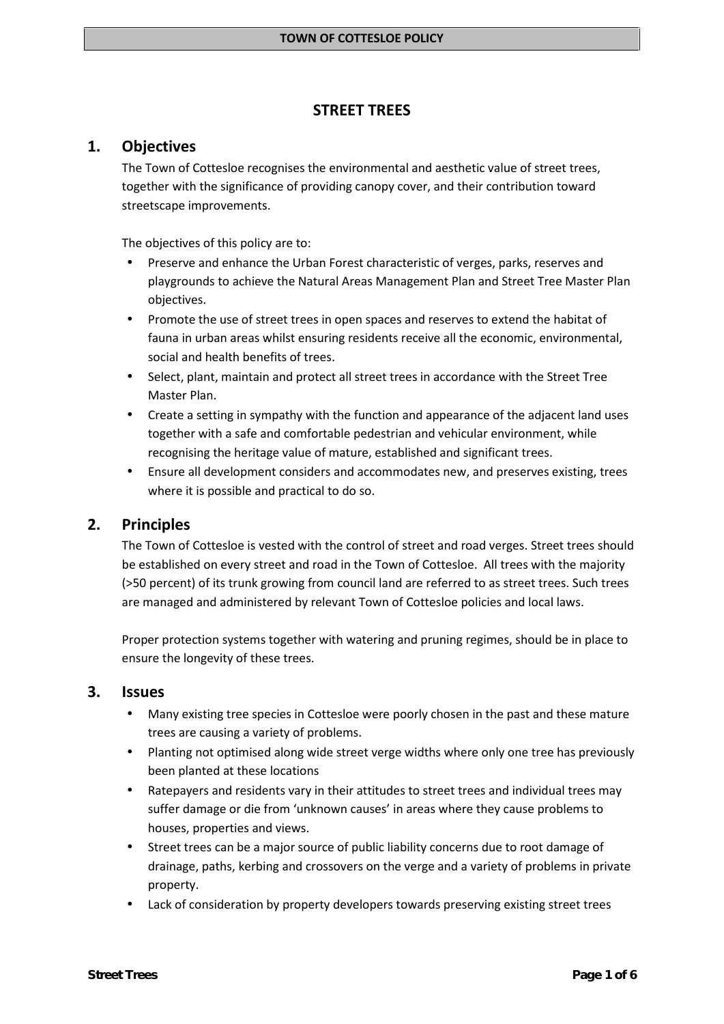### **STREET TREES**

# **1. Objectives**

The Town of Cottesloe recognises the environmental and aesthetic value of street trees, together with the significance of providing canopy cover, and their contribution toward streetscape improvements.

The objectives of this policy are to:

- Preserve and enhance the Urban Forest characteristic of verges, parks, reserves and playgrounds to achieve the Natural Areas Management Plan and Street Tree Master Plan objectives.
- Promote the use of street trees in open spaces and reserves to extend the habitat of fauna in urban areas whilst ensuring residents receive all the economic, environmental, social and health benefits of trees.
- Select, plant, maintain and protect all street trees in accordance with the Street Tree Master Plan.
- Create a setting in sympathy with the function and appearance of the adjacent land uses together with a safe and comfortable pedestrian and vehicular environment, while recognising the heritage value of mature, established and significant trees.
- Ensure all development considers and accommodates new, and preserves existing, trees where it is possible and practical to do so.

# **2. Principles**

The Town of Cottesloe is vested with the control of street and road verges. Street trees should be established on every street and road in the Town of Cottesloe. All trees with the majority (>50 percent) of its trunk growing from council land are referred to as street trees. Such trees are managed and administered by relevant Town of Cottesloe policies and local laws.

Proper protection systems together with watering and pruning regimes, should be in place to ensure the longevity of these trees.

# **3. Issues**

- Many existing tree species in Cottesloe were poorly chosen in the past and these mature trees are causing a variety of problems.
- Planting not optimised along wide street verge widths where only one tree has previously been planted at these locations
- Ratepayers and residents vary in their attitudes to street trees and individual trees may suffer damage or die from 'unknown causes' in areas where they cause problems to houses, properties and views.
- Street trees can be a major source of public liability concerns due to root damage of drainage, paths, kerbing and crossovers on the verge and a variety of problems in private property.
- Lack of consideration by property developers towards preserving existing street trees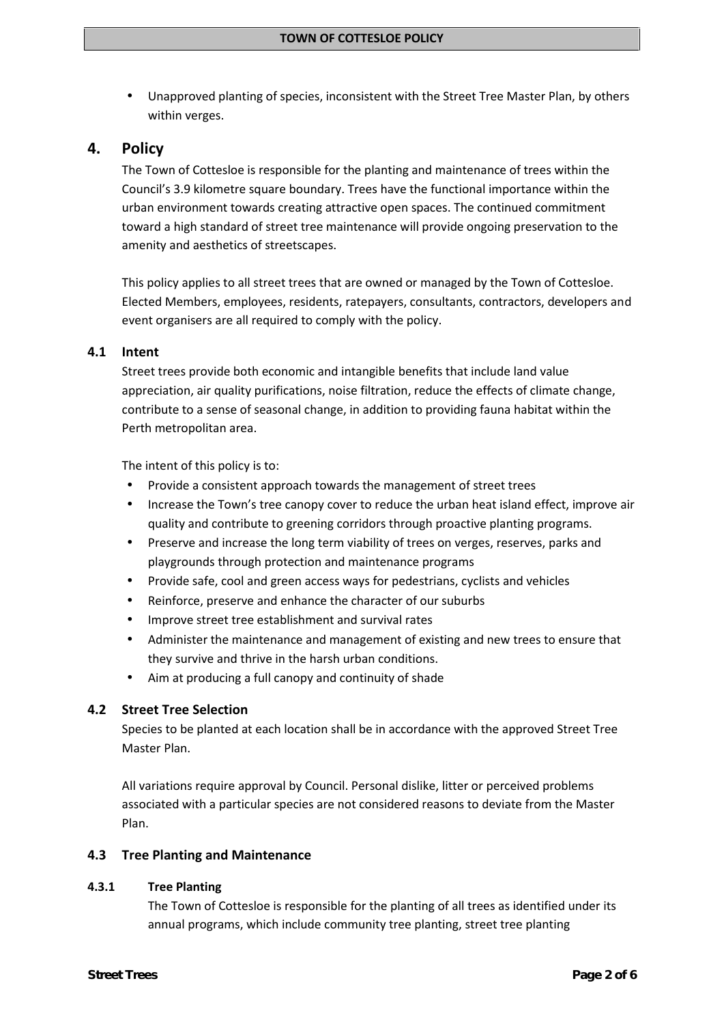Unapproved planting of species, inconsistent with the Street Tree Master Plan, by others within verges.

### **4. Policy**

The Town of Cottesloe is responsible for the planting and maintenance of trees within the Council's 3.9 kilometre square boundary. Trees have the functional importance within the urban environment towards creating attractive open spaces. The continued commitment toward a high standard of street tree maintenance will provide ongoing preservation to the amenity and aesthetics of streetscapes.

This policy applies to all street trees that are owned or managed by the Town of Cottesloe. Elected Members, employees, residents, ratepayers, consultants, contractors, developers and event organisers are all required to comply with the policy.

### **4.1 Intent**

Street trees provide both economic and intangible benefits that include land value appreciation, air quality purifications, noise filtration, reduce the effects of climate change, contribute to a sense of seasonal change, in addition to providing fauna habitat within the Perth metropolitan area.

The intent of this policy is to:

- Provide a consistent approach towards the management of street trees
- Increase the Town's tree canopy cover to reduce the urban heat island effect, improve air quality and contribute to greening corridors through proactive planting programs.
- Preserve and increase the long term viability of trees on verges, reserves, parks and playgrounds through protection and maintenance programs
- Provide safe, cool and green access ways for pedestrians, cyclists and vehicles
- Reinforce, preserve and enhance the character of our suburbs
- Improve street tree establishment and survival rates
- Administer the maintenance and management of existing and new trees to ensure that they survive and thrive in the harsh urban conditions.
- Aim at producing a full canopy and continuity of shade

### **4.2 Street Tree Selection**

Species to be planted at each location shall be in accordance with the approved Street Tree Master Plan.

All variations require approval by Council. Personal dislike, litter or perceived problems associated with a particular species are not considered reasons to deviate from the Master Plan.

#### **4.3 Tree Planting and Maintenance**

#### **4.3.1 Tree Planting**

The Town of Cottesloe is responsible for the planting of all trees as identified under its annual programs, which include community tree planting, street tree planting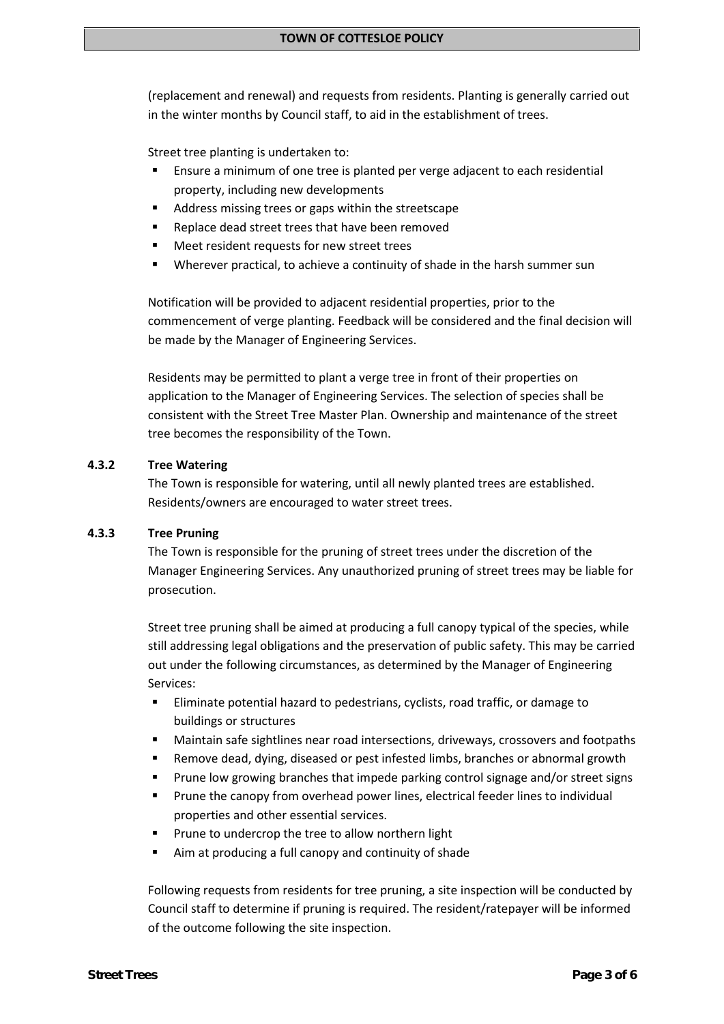(replacement and renewal) and requests from residents. Planting is generally carried out in the winter months by Council staff, to aid in the establishment of trees.

Street tree planting is undertaken to:

- Ensure a minimum of one tree is planted per verge adjacent to each residential property, including new developments
- Address missing trees or gaps within the streetscape
- Replace dead street trees that have been removed
- Meet resident requests for new street trees
- Wherever practical, to achieve a continuity of shade in the harsh summer sun

Notification will be provided to adjacent residential properties, prior to the commencement of verge planting. Feedback will be considered and the final decision will be made by the Manager of Engineering Services.

Residents may be permitted to plant a verge tree in front of their properties on application to the Manager of Engineering Services. The selection of species shall be consistent with the Street Tree Master Plan. Ownership and maintenance of the street tree becomes the responsibility of the Town.

### **4.3.2 Tree Watering**

The Town is responsible for watering, until all newly planted trees are established. Residents/owners are encouraged to water street trees.

#### **4.3.3 Tree Pruning**

The Town is responsible for the pruning of street trees under the discretion of the Manager Engineering Services. Any unauthorized pruning of street trees may be liable for prosecution.

Street tree pruning shall be aimed at producing a full canopy typical of the species, while still addressing legal obligations and the preservation of public safety. This may be carried out under the following circumstances, as determined by the Manager of Engineering Services:

- Eliminate potential hazard to pedestrians, cyclists, road traffic, or damage to buildings or structures
- Maintain safe sightlines near road intersections, driveways, crossovers and footpaths
- Remove dead, dying, diseased or pest infested limbs, branches or abnormal growth
- Prune low growing branches that impede parking control signage and/or street signs
- Prune the canopy from overhead power lines, electrical feeder lines to individual properties and other essential services.
- Prune to undercrop the tree to allow northern light
- Aim at producing a full canopy and continuity of shade

Following requests from residents for tree pruning, a site inspection will be conducted by Council staff to determine if pruning is required. The resident/ratepayer will be informed of the outcome following the site inspection.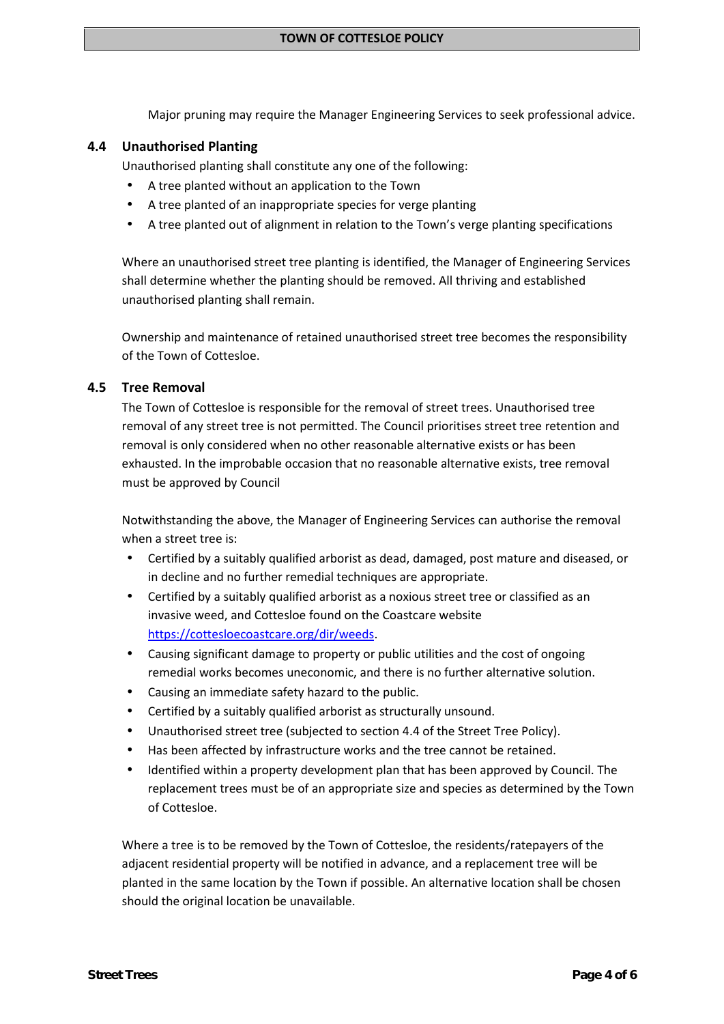Major pruning may require the Manager Engineering Services to seek professional advice.

### **4.4 Unauthorised Planting**

Unauthorised planting shall constitute any one of the following:

- A tree planted without an application to the Town
- A tree planted of an inappropriate species for verge planting
- A tree planted out of alignment in relation to the Town's verge planting specifications

Where an unauthorised street tree planting is identified, the Manager of Engineering Services shall determine whether the planting should be removed. All thriving and established unauthorised planting shall remain.

Ownership and maintenance of retained unauthorised street tree becomes the responsibility of the Town of Cottesloe.

### **4.5 Tree Removal**

The Town of Cottesloe is responsible for the removal of street trees. Unauthorised tree removal of any street tree is not permitted. The Council prioritises street tree retention and removal is only considered when no other reasonable alternative exists or has been exhausted. In the improbable occasion that no reasonable alternative exists, tree removal must be approved by Council

Notwithstanding the above, the Manager of Engineering Services can authorise the removal when a street tree is:

- Certified by a suitably qualified arborist as dead, damaged, post mature and diseased, or in decline and no further remedial techniques are appropriate.
- Certified by a suitably qualified arborist as a noxious street tree or classified as an invasive weed, and Cottesloe found on the Coastcare website https://cottesloecoastcare.org/dir/weeds.
- Causing significant damage to property or public utilities and the cost of ongoing remedial works becomes uneconomic, and there is no further alternative solution.
- Causing an immediate safety hazard to the public.
- Certified by a suitably qualified arborist as structurally unsound.
- Unauthorised street tree (subjected to section 4.4 of the Street Tree Policy).
- Has been affected by infrastructure works and the tree cannot be retained.
- Identified within a property development plan that has been approved by Council. The replacement trees must be of an appropriate size and species as determined by the Town of Cottesloe.

Where a tree is to be removed by the Town of Cottesloe, the residents/ratepayers of the adjacent residential property will be notified in advance, and a replacement tree will be planted in the same location by the Town if possible. An alternative location shall be chosen should the original location be unavailable.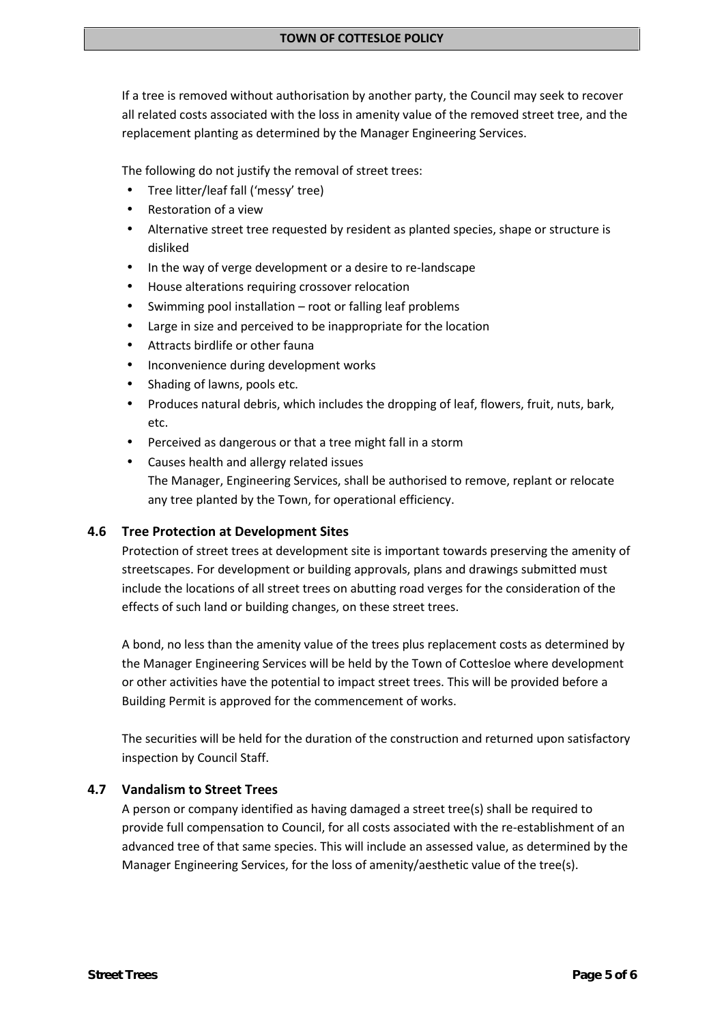If a tree is removed without authorisation by another party, the Council may seek to recover all related costs associated with the loss in amenity value of the removed street tree, and the replacement planting as determined by the Manager Engineering Services.

The following do not justify the removal of street trees:

- Tree litter/leaf fall ('messy' tree)
- Restoration of a view
- Alternative street tree requested by resident as planted species, shape or structure is disliked
- In the way of verge development or a desire to re-landscape
- House alterations requiring crossover relocation
- Swimming pool installation root or falling leaf problems
- Large in size and perceived to be inappropriate for the location
- Attracts birdlife or other fauna
- Inconvenience during development works
- Shading of lawns, pools etc.
- Produces natural debris, which includes the dropping of leaf, flowers, fruit, nuts, bark, etc.
- Perceived as dangerous or that a tree might fall in a storm
- Causes health and allergy related issues The Manager, Engineering Services, shall be authorised to remove, replant or relocate any tree planted by the Town, for operational efficiency.

# **4.6 Tree Protection at Development Sites**

Protection of street trees at development site is important towards preserving the amenity of streetscapes. For development or building approvals, plans and drawings submitted must include the locations of all street trees on abutting road verges for the consideration of the effects of such land or building changes, on these street trees.

A bond, no less than the amenity value of the trees plus replacement costs as determined by the Manager Engineering Services will be held by the Town of Cottesloe where development or other activities have the potential to impact street trees. This will be provided before a Building Permit is approved for the commencement of works.

The securities will be held for the duration of the construction and returned upon satisfactory inspection by Council Staff.

### **4.7 Vandalism to Street Trees**

A person or company identified as having damaged a street tree(s) shall be required to provide full compensation to Council, for all costs associated with the re-establishment of an advanced tree of that same species. This will include an assessed value, as determined by the Manager Engineering Services, for the loss of amenity/aesthetic value of the tree(s).